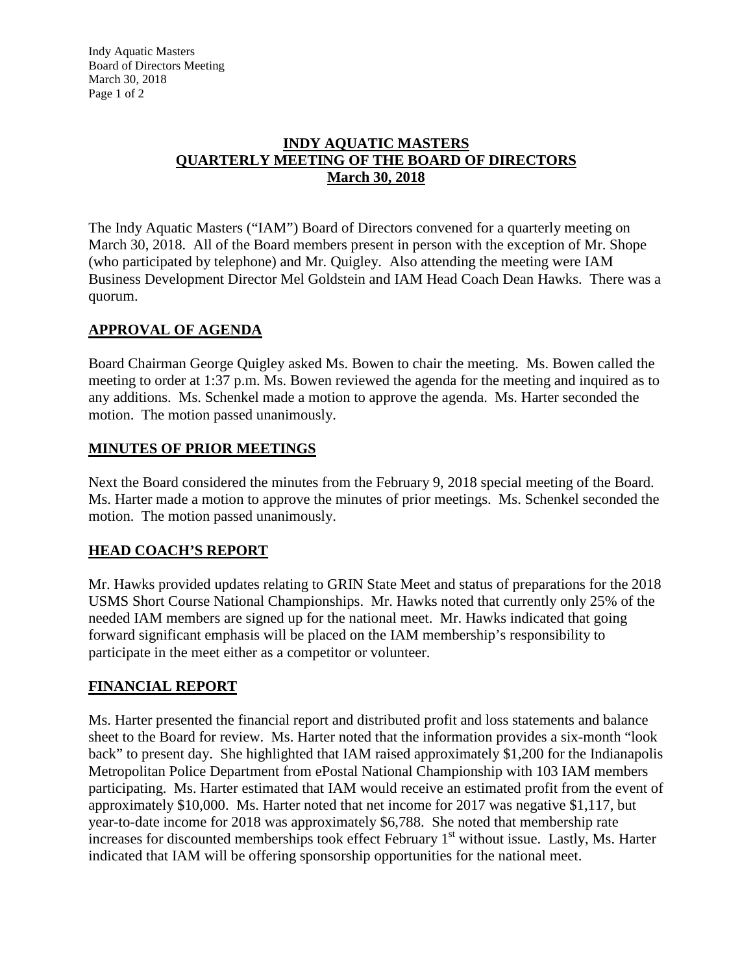## **INDY AQUATIC MASTERS QUARTERLY MEETING OF THE BOARD OF DIRECTORS March 30, 2018**

The Indy Aquatic Masters ("IAM") Board of Directors convened for a quarterly meeting on March 30, 2018. All of the Board members present in person with the exception of Mr. Shope (who participated by telephone) and Mr. Quigley. Also attending the meeting were IAM Business Development Director Mel Goldstein and IAM Head Coach Dean Hawks. There was a quorum.

## **APPROVAL OF AGENDA**

Board Chairman George Quigley asked Ms. Bowen to chair the meeting. Ms. Bowen called the meeting to order at 1:37 p.m. Ms. Bowen reviewed the agenda for the meeting and inquired as to any additions. Ms. Schenkel made a motion to approve the agenda. Ms. Harter seconded the motion. The motion passed unanimously.

## **MINUTES OF PRIOR MEETINGS**

Next the Board considered the minutes from the February 9, 2018 special meeting of the Board. Ms. Harter made a motion to approve the minutes of prior meetings. Ms. Schenkel seconded the motion. The motion passed unanimously.

# **HEAD COACH'S REPORT**

Mr. Hawks provided updates relating to GRIN State Meet and status of preparations for the 2018 USMS Short Course National Championships. Mr. Hawks noted that currently only 25% of the needed IAM members are signed up for the national meet. Mr. Hawks indicated that going forward significant emphasis will be placed on the IAM membership's responsibility to participate in the meet either as a competitor or volunteer.

## **FINANCIAL REPORT**

Ms. Harter presented the financial report and distributed profit and loss statements and balance sheet to the Board for review. Ms. Harter noted that the information provides a six-month "look back" to present day. She highlighted that IAM raised approximately \$1,200 for the Indianapolis Metropolitan Police Department from ePostal National Championship with 103 IAM members participating. Ms. Harter estimated that IAM would receive an estimated profit from the event of approximately \$10,000. Ms. Harter noted that net income for 2017 was negative \$1,117, but year-to-date income for 2018 was approximately \$6,788. She noted that membership rate increases for discounted memberships took effect February  $1<sup>st</sup>$  without issue. Lastly, Ms. Harter indicated that IAM will be offering sponsorship opportunities for the national meet.